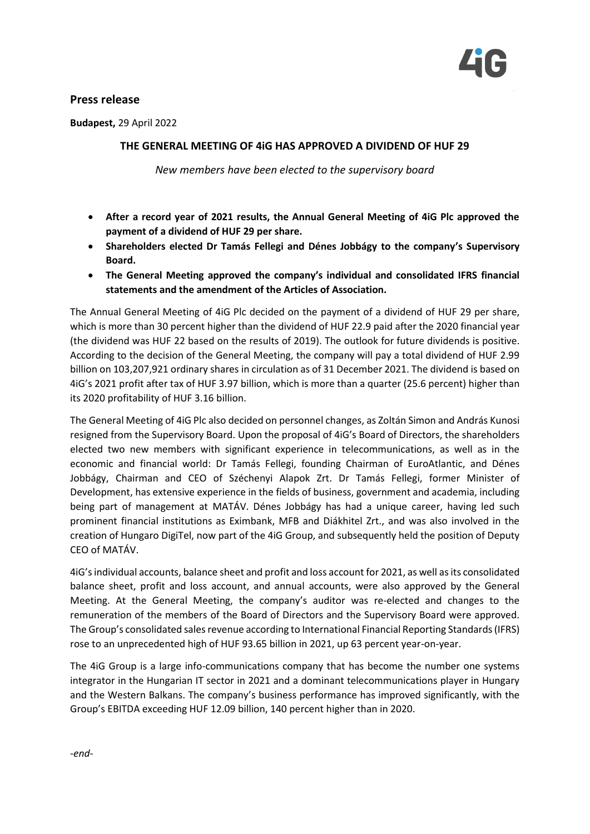

## **Press release**

**Budapest,** 29 April 2022

## **THE GENERAL MEETING OF 4iG HAS APPROVED A DIVIDEND OF HUF 29**

*New members have been elected to the supervisory board*

- **After a record year of 2021 results, the Annual General Meeting of 4iG Plc approved the payment of a dividend of HUF 29 per share.**
- **Shareholders elected Dr Tamás Fellegi and Dénes Jobbágy to the company's Supervisory Board.**
- **The General Meeting approved the company's individual and consolidated IFRS financial statements and the amendment of the Articles of Association.**

The Annual General Meeting of 4iG Plc decided on the payment of a dividend of HUF 29 per share, which is more than 30 percent higher than the dividend of HUF 22.9 paid after the 2020 financial year (the dividend was HUF 22 based on the results of 2019). The outlook for future dividends is positive. According to the decision of the General Meeting, the company will pay a total dividend of HUF 2.99 billion on 103,207,921 ordinary shares in circulation as of 31 December 2021. The dividend is based on 4iG's 2021 profit after tax of HUF 3.97 billion, which is more than a quarter (25.6 percent) higher than its 2020 profitability of HUF 3.16 billion.

The General Meeting of 4iG Plc also decided on personnel changes, as Zoltán Simon and András Kunosi resigned from the Supervisory Board. Upon the proposal of 4iG's Board of Directors, the shareholders elected two new members with significant experience in telecommunications, as well as in the economic and financial world: Dr Tamás Fellegi, founding Chairman of EuroAtlantic, and Dénes Jobbágy, Chairman and CEO of Széchenyi Alapok Zrt. Dr Tamás Fellegi, former Minister of Development, has extensive experience in the fields of business, government and academia, including being part of management at MATÁV. Dénes Jobbágy has had a unique career, having led such prominent financial institutions as Eximbank, MFB and Diákhitel Zrt., and was also involved in the creation of Hungaro DigiTel, now part of the 4iG Group, and subsequently held the position of Deputy CEO of MATÁV.

4iG's individual accounts, balance sheet and profit and loss account for 2021, as well as its consolidated balance sheet, profit and loss account, and annual accounts, were also approved by the General Meeting. At the General Meeting, the company's auditor was re-elected and changes to the remuneration of the members of the Board of Directors and the Supervisory Board were approved. The Group's consolidated sales revenue according to International Financial Reporting Standards (IFRS) rose to an unprecedented high of HUF 93.65 billion in 2021, up 63 percent year-on-year.

The 4iG Group is a large info-communications company that has become the number one systems integrator in the Hungarian IT sector in 2021 and a dominant telecommunications player in Hungary and the Western Balkans. The company's business performance has improved significantly, with the Group's EBITDA exceeding HUF 12.09 billion, 140 percent higher than in 2020.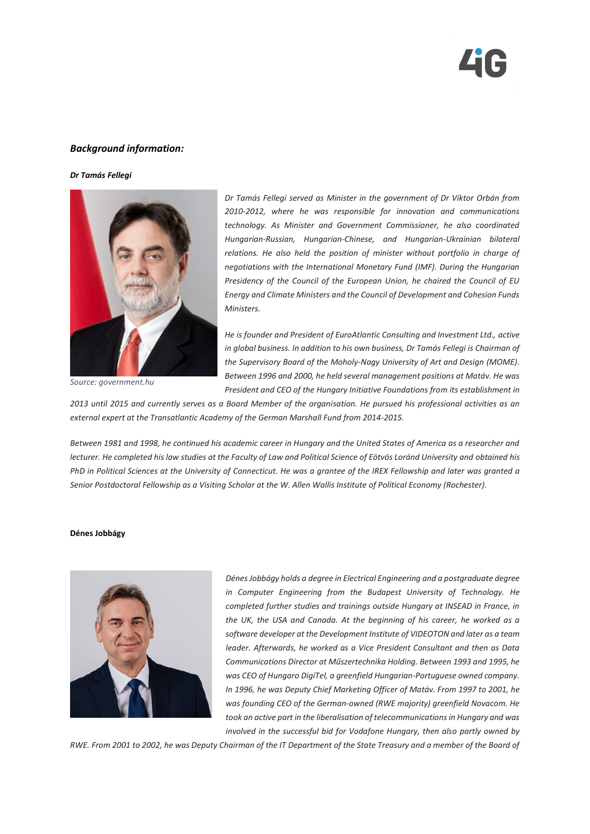

## *Background information:*

*Dr Tamás Fellegi*



*Source: government.hu*

*Dr Tamás Fellegi served as Minister in the government of Dr Viktor Orbán from 2010-2012, where he was responsible for innovation and communications technology. As Minister and Government Commissioner, he also coordinated Hungarian-Russian, Hungarian-Chinese, and Hungarian-Ukrainian bilateral relations. He also held the position of minister without portfolio in charge of negotiations with the International Monetary Fund (IMF). During the Hungarian Presidency of the Council of the European Union, he chaired the Council of EU Energy and Climate Ministers and the Council of Development and Cohesion Funds Ministers.*

*He is founder and President of EuroAtlantic Consulting and Investment Ltd., active in global business. In addition to his own business, Dr Tamás Fellegi is Chairman of the Supervisory Board of the Moholy-Nagy University of Art and Design (MOME). Between 1996 and 2000, he held several management positions at Matáv. He was President and CEO of the Hungary Initiative Foundations from its establishment in* 

*2013 until 2015 and currently serves as a Board Member of the organisation. He pursued his professional activities as an external expert at the Transatlantic Academy of the German Marshall Fund from 2014-2015.*

*Between 1981 and 1998, he continued his academic career in Hungary and the United States of America as a researcher and lecturer. He completed his law studies at the Faculty of Law and Political Science of Eötvös Loránd University and obtained his PhD in Political Sciences at the University of Connecticut. He was a grantee of the IREX Fellowship and later was granted a Senior Postdoctoral Fellowship as a Visiting Scholar at the W. Allen Wallis Institute of Political Economy (Rochester).*

## **Dénes Jobbágy**



*Dénes Jobbágy holds a degree in Electrical Engineering and a postgraduate degree in Computer Engineering from the Budapest University of Technology. He completed further studies and trainings outside Hungary at INSEAD in France, in the UK, the USA and Canada. At the beginning of his career, he worked as a software developer at the Development Institute of VIDEOTON and later as a team leader. Afterwards, he worked as a Vice President Consultant and then as Data Communications Director at Műszertechnika Holding. Between 1993 and 1995, he was CEO of Hungaro DigiTel, a greenfield Hungarian-Portuguese owned company. In 1996, he was Deputy Chief Marketing Officer of Matáv. From 1997 to 2001, he was founding CEO of the German-owned (RWE majority) greenfield Novacom. He took an active part in the liberalisation of telecommunications in Hungary and was involved in the successful bid for Vodafone Hungary, then also partly owned by* 

*RWE. From 2001 to 2002, he was Deputy Chairman of the IT Department of the State Treasury and a member of the Board of*